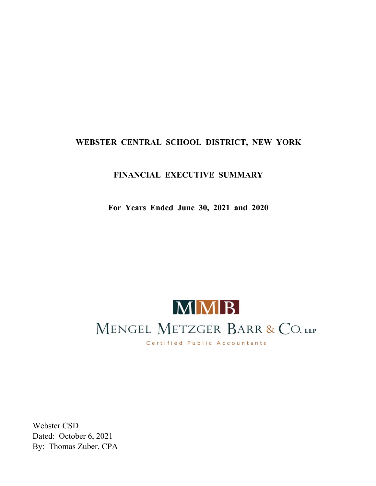### **FINANCIAL EXECUTIVE SUMMARY**

**For Years Ended June 30, 2021 and 2020**



Webster CSD Dated: October 6, 2021 By: Thomas Zuber, CPA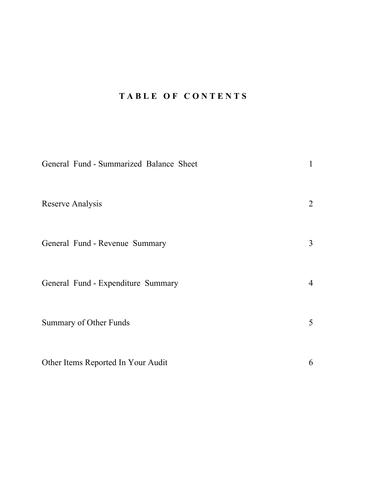## **T A B L E O F C O N T E N T S**

| General Fund - Summarized Balance Sheet | 1              |
|-----------------------------------------|----------------|
| Reserve Analysis                        | 2              |
| General Fund - Revenue Summary          | $\mathfrak{Z}$ |
| General Fund - Expenditure Summary      | $\overline{4}$ |
| Summary of Other Funds                  | 5 <sup>5</sup> |
| Other Items Reported In Your Audit      | 6              |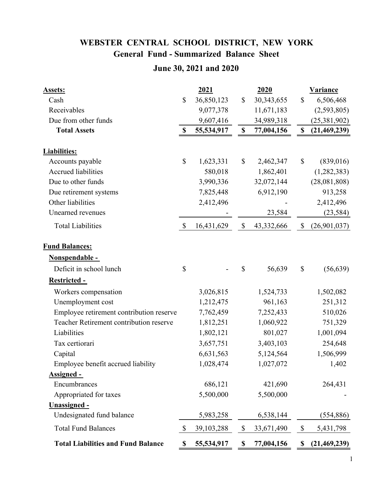# **General Fund - Summarized Balance Sheet WEBSTER CENTRAL SCHOOL DISTRICT, NEW YORK**

## **June 30, 2021 and 2020**

| <b>Assets:</b>                            |                           | 2021       |               | 2020       |                           | <b>Variance</b> |
|-------------------------------------------|---------------------------|------------|---------------|------------|---------------------------|-----------------|
| Cash                                      | \$                        | 36,850,123 | $\mathbb{S}$  | 30,343,655 | $\mathbb{S}$              | 6,506,468       |
| Receivables                               |                           | 9,077,378  |               | 11,671,183 |                           | (2,593,805)     |
| Due from other funds                      |                           | 9,607,416  |               | 34,989,318 |                           | (25,381,902)    |
| <b>Total Assets</b>                       | $\boldsymbol{\mathsf{S}}$ | 55,534,917 | $\mathbb S$   | 77,004,156 | \$                        | (21, 469, 239)  |
| <b>Liabilities:</b>                       |                           |            |               |            |                           |                 |
| Accounts payable                          | $\boldsymbol{\mathsf{S}}$ | 1,623,331  | \$            | 2,462,347  | \$                        | (839, 016)      |
| <b>Accrued liabilities</b>                |                           | 580,018    |               | 1,862,401  |                           | (1,282,383)     |
| Due to other funds                        |                           | 3,990,336  |               | 32,072,144 |                           | (28,081,808)    |
| Due retirement systems                    |                           | 7,825,448  |               | 6,912,190  |                           | 913,258         |
| Other liabilities                         |                           | 2,412,496  |               |            |                           | 2,412,496       |
| Unearned revenues                         |                           |            |               | 23,584     |                           | (23, 584)       |
| <b>Total Liabilities</b>                  | $\mathbb{S}$              | 16,431,629 | $\mathcal{S}$ | 43,332,666 | \$                        | (26,901,037)    |
| <b>Fund Balances:</b>                     |                           |            |               |            |                           |                 |
| <b>Nonspendable -</b>                     |                           |            |               |            |                           |                 |
| Deficit in school lunch                   | \$                        |            | \$            | 56,639     | \$                        | (56, 639)       |
| Restricted -                              |                           |            |               |            |                           |                 |
| Workers compensation                      |                           | 3,026,815  |               | 1,524,733  |                           | 1,502,082       |
| Unemployment cost                         |                           | 1,212,475  |               | 961,163    |                           | 251,312         |
| Employee retirement contribution reserve  |                           | 7,762,459  |               | 7,252,433  |                           | 510,026         |
| Teacher Retirement contribution reserve   |                           | 1,812,251  |               | 1,060,922  |                           | 751,329         |
| Liabilities                               |                           | 1,802,121  |               | 801,027    |                           | 1,001,094       |
| Tax certiorari                            |                           | 3,657,751  |               | 3,403,103  |                           | 254,648         |
| Capital                                   |                           | 6,631,563  |               | 5,124,564  |                           | 1,506,999       |
| Employee benefit accrued liability        |                           | 1,028,474  |               | 1,027,072  |                           | 1,402           |
| <b>Assigned -</b>                         |                           |            |               |            |                           |                 |
| Encumbrances                              |                           | 686,121    |               | 421,690    |                           | 264,431         |
| Appropriated for taxes                    |                           | 5,500,000  |               | 5,500,000  |                           |                 |
| <b>Unassigned -</b>                       |                           |            |               |            |                           |                 |
| Undesignated fund balance                 |                           | 5,983,258  |               | 6,538,144  |                           | (554, 886)      |
| <b>Total Fund Balances</b>                | \$                        | 39,103,288 | \$            | 33,671,490 | $\boldsymbol{\mathsf{S}}$ | 5,431,798       |
| <b>Total Liabilities and Fund Balance</b> | \$                        | 55,534,917 | \$            | 77,004,156 | \$                        | (21,469,239)    |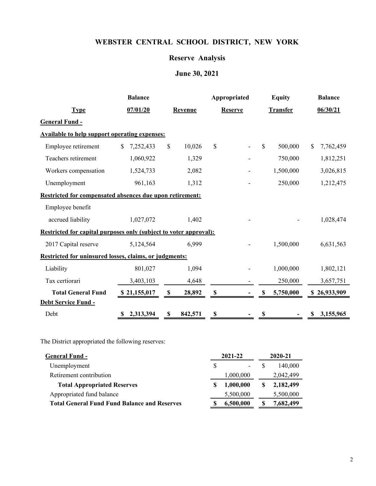#### **Reserve Analysis**

# **June 30, 2021**

|                                                                   | <b>Balance</b>  | Appropriated  |                | <b>Equity</b> |                 | <b>Balance</b> |          |              |
|-------------------------------------------------------------------|-----------------|---------------|----------------|---------------|-----------------|----------------|----------|--------------|
| <b>Type</b>                                                       | 07/01/20        | Revenue       | <b>Reserve</b> |               | <b>Transfer</b> |                | 06/30/21 |              |
| <b>General Fund -</b>                                             |                 |               |                |               |                 |                |          |              |
| <b>Available to help support operating expenses:</b>              |                 |               |                |               |                 |                |          |              |
| Employee retirement                                               | \$<br>7,252,433 | \$<br>10,026  | \$             |               | $\mathbb{S}$    | 500,000        | \$.      | 7,762,459    |
| Teachers retirement                                               | 1,060,922       | 1,329         |                |               |                 | 750,000        |          | 1,812,251    |
| Workers compensation                                              | 1,524,733       | 2,082         |                |               |                 | 1,500,000      |          | 3,026,815    |
| Unemployment                                                      | 961,163         | 1,312         |                |               |                 | 250,000        |          | 1,212,475    |
| Restricted for compensated absences due upon retirement:          |                 |               |                |               |                 |                |          |              |
| Employee benefit                                                  |                 |               |                |               |                 |                |          |              |
| accrued liability                                                 | 1,027,072       | 1,402         |                |               |                 |                |          | 1,028,474    |
| Restricted for capital purposes only (subject to voter approval): |                 |               |                |               |                 |                |          |              |
| 2017 Capital reserve                                              | 5,124,564       | 6,999         |                |               |                 | 1,500,000      |          | 6,631,563    |
| Restricted for uninsured losses, claims, or judgments:            |                 |               |                |               |                 |                |          |              |
| Liability                                                         | 801,027         | 1,094         |                |               |                 | 1,000,000      |          | 1,802,121    |
| Tax certiorari                                                    | 3,403,103       | 4,648         |                |               |                 | 250,000        |          | 3,657,751    |
| <b>Total General Fund</b>                                         | \$21,155,017    | \$<br>28,892  | \$             |               | \$              | 5,750,000      |          | \$26,933,909 |
| Debt Service Fund -                                               |                 |               |                |               |                 |                |          |              |
| Debt                                                              | 2,313,394       | \$<br>842,571 | \$             |               | \$              |                | \$       | 3,155,965    |

The District appropriated the following reserves:

| <b>General Fund -</b>                               | 2021-22   | 2020-21   |
|-----------------------------------------------------|-----------|-----------|
| Unemployment                                        | -         | 140,000   |
| Retirement contribution                             | 1,000,000 | 2,042,499 |
| <b>Total Appropriated Reserves</b>                  | 1,000,000 | 2,182,499 |
| Appropriated fund balance                           | 5,500,000 | 5,500,000 |
| <b>Total General Fund Fund Balance and Reserves</b> | 6,500,000 | 7,682,499 |
|                                                     |           |           |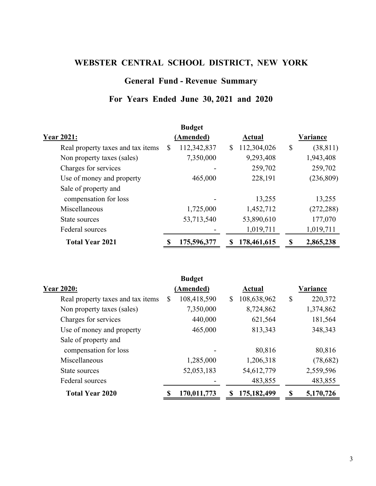### **General Fund - Revenue Summary**

### **For Years Ended June 30, 2021 and 2020**

|                                   | <b>Budget</b>    |                   |                 |
|-----------------------------------|------------------|-------------------|-----------------|
| <b>Year 2021:</b>                 | (Amended)        | Actual            | Variance        |
| Real property taxes and tax items | 112,342,837<br>S | 112,304,026<br>\$ | \$<br>(38, 811) |
| Non property taxes (sales)        | 7,350,000        | 9,293,408         | 1,943,408       |
| Charges for services              |                  | 259,702           | 259,702         |
| Use of money and property         | 465,000          | 228,191           | (236, 809)      |
| Sale of property and              |                  |                   |                 |
| compensation for loss             |                  | 13,255            | 13,255          |
| Miscellaneous                     | 1,725,000        | 1,452,712         | (272, 288)      |
| State sources                     | 53,713,540       | 53,890,610        | 177,070         |
| Federal sources                   |                  | 1,019,711         | 1,019,711       |
| <b>Total Year 2021</b>            | 175,596,377      | 178,461,615<br>S  | 2,865,238<br>S  |

| <b>Budget</b>     |                   |                                      |
|-------------------|-------------------|--------------------------------------|
| (Amended)         | Actual            | Variance                             |
| 108,418,590<br>\$ | 108,638,962<br>\$ | $\boldsymbol{\mathsf{S}}$<br>220,372 |
| 7,350,000         | 8,724,862         | 1,374,862                            |
| 440,000           | 621,564           | 181,564                              |
| 465,000           | 813,343           | 348,343                              |
|                   |                   |                                      |
|                   | 80,816            | 80,816                               |
| 1,285,000         | 1,206,318         | (78,682)                             |
| 52,053,183        | 54,612,779        | 2,559,596                            |
|                   | 483,855           | 483,855                              |
| 170,011,773       | 175,182,499<br>\$ | 5,170,726<br>S                       |
|                   |                   |                                      |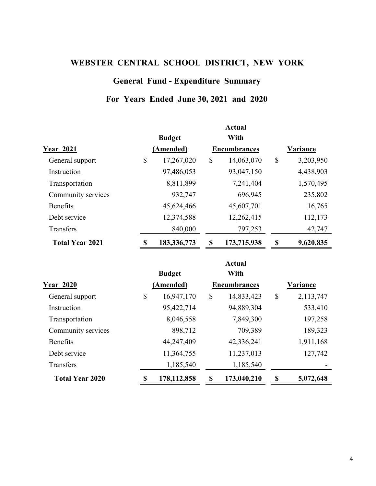### **General Fund - Expenditure Summary**

### **For Years Ended June 30, 2021 and 2020**

|                        |             |               |                           | <b>Actual</b>       |                           |                 |
|------------------------|-------------|---------------|---------------------------|---------------------|---------------------------|-----------------|
|                        |             | <b>Budget</b> |                           | With                |                           |                 |
| <b>Year 2021</b>       |             | (Amended)     |                           | <b>Encumbrances</b> |                           | <b>Variance</b> |
| General support        | \$          | 17,267,020    | \$                        | 14,063,070          | $\mathbb{S}$              | 3,203,950       |
| Instruction            |             | 97,486,053    |                           | 93,047,150          |                           | 4,438,903       |
| Transportation         |             | 8,811,899     |                           | 7,241,404           |                           | 1,570,495       |
| Community services     |             | 932,747       |                           | 696,945             |                           | 235,802         |
| <b>Benefits</b>        |             | 45,624,466    |                           | 45,607,701          |                           | 16,765          |
| Debt service           |             | 12,374,588    |                           | 12,262,415          |                           | 112,173         |
| Transfers              |             | 840,000       |                           | 797,253             |                           | 42,747          |
| <b>Total Year 2021</b> | $\mathbf S$ | 183, 336, 773 | $\boldsymbol{\mathsf{S}}$ | 173,715,938         | $\boldsymbol{\mathsf{S}}$ | 9,620,835       |
|                        |             |               |                           | <b>Actual</b>       |                           |                 |
|                        |             | <b>Budget</b> |                           | With                |                           |                 |
| <b>Year 2020</b>       |             | (Amended)     |                           | <b>Encumbrances</b> |                           | Variance        |
| General support        | \$          | 16,947,170    | \$                        | 14,833,423          | $\mathbb{S}$              | 2,113,747       |
| Instruction            |             | 95,422,714    |                           | 94,889,304          |                           | 533,410         |
| Transportation         |             | 8,046,558     |                           | 7,849,300           |                           | 197,258         |
| Community services     |             | 898,712       |                           | 709,389             |                           | 189,323         |
| <b>Benefits</b>        |             | 44,247,409    |                           | 42,336,241          |                           | 1,911,168       |
| Debt service           |             | 11,364,755    |                           | 11,237,013          |                           | 127,742         |
| Transfers              |             | 1,185,540     |                           | 1,185,540           |                           |                 |
| <b>Total Year 2020</b> | \$          | 178, 112, 858 | \$                        | 173,040,210         | \$                        | 5,072,648       |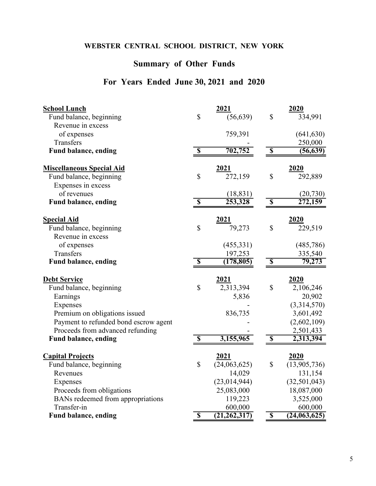## **Summary of Other Funds**

## **For Years Ended June 30, 2021 and 2020**

| <b>School Lunch</b>                   |                           | 2021           |                           | 2020           |
|---------------------------------------|---------------------------|----------------|---------------------------|----------------|
| Fund balance, beginning               | $\mathbb{S}$              | (56, 639)      | $\mathsf{\$}$             | 334,991        |
| Revenue in excess                     |                           |                |                           |                |
| of expenses                           |                           | 759,391        |                           | (641, 630)     |
| Transfers                             |                           |                |                           | 250,000        |
| Fund balance, ending                  | $\overline{\mathbb{S}}$   | 702,752        | $\overline{\mathbb{S}}$   | (56, 639)      |
| <b>Miscellaneous Special Aid</b>      |                           | 2021           |                           | 2020           |
| Fund balance, beginning               | \$                        | 272,159        | \$                        | 292,889        |
| Expenses in excess                    |                           |                |                           |                |
| of revenues                           |                           | (18, 831)      |                           | (20, 730)      |
| <b>Fund balance, ending</b>           | $\overline{\mathbb{S}}$   | 253,328        | $\boldsymbol{\mathsf{S}}$ | 272,159        |
| <b>Special Aid</b>                    |                           | 2021           |                           | 2020           |
| Fund balance, beginning               | \$                        | 79,273         | \$                        | 229,519        |
| Revenue in excess                     |                           |                |                           |                |
| of expenses                           |                           | (455,331)      |                           | (485, 786)     |
| Transfers                             |                           | 197,253        |                           | 335,540        |
| Fund balance, ending                  | $\boldsymbol{\mathsf{S}}$ | (178, 805)     | $\overline{\mathbb{S}}$   | 79,273         |
| <b>Debt Service</b>                   |                           | 2021           |                           | 2020           |
| Fund balance, beginning               | $\mathsf{\$}$             | 2,313,394      | \$                        | 2,106,246      |
| Earnings                              |                           | 5,836          |                           | 20,902         |
| Expenses                              |                           |                |                           | (3,314,570)    |
| Premium on obligations issued         |                           | 836,735        |                           | 3,601,492      |
| Payment to refunded bond escrow agent |                           |                |                           | (2,602,109)    |
| Proceeds from advanced refunding      |                           |                |                           | 2,501,433      |
| <b>Fund balance, ending</b>           | $\overline{\mathbb{S}}$   | 3,155,965      | $\overline{\mathbf{S}}$   | 2,313,394      |
| <b>Capital Projects</b>               |                           | 2021           |                           | 2020           |
| Fund balance, beginning               | \$                        | (24,063,625)   | \$                        | (13,905,736)   |
| Revenues                              |                           | 14,029         |                           | 131,154        |
| Expenses                              |                           | (23, 014, 944) |                           | (32, 501, 043) |
| Proceeds from obligations             |                           | 25,083,000     |                           | 18,087,000     |
| BANs redeemed from appropriations     |                           | 119,223        |                           | 3,525,000      |
| Transfer-in                           |                           | 600,000        |                           | 600,000        |
| <b>Fund balance, ending</b>           | $\overline{\mathbb{S}}$   | (21, 262, 317) | $\overline{\mathbf{S}}$   | (24,063,625)   |